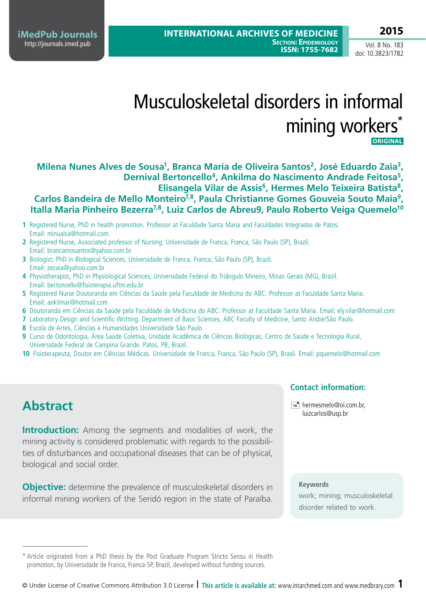**iMedPub Journals** <http://journals.imed.pub>

Vol. 8 No. 183 doi: 10.3823/1782

# Musculoskeletal disorders in informal mining workers<sup>\*</sup>  **ORIGINALI**

**Milena Nunes Alves de Sousa1, Branca Maria de Oliveira Santos2, José Eduardo Zaia3, Dernival Bertoncello4, Ankilma do Nascimento Andrade Feitosa5,**  Elisangela Vilar de Assis<sup>6</sup>, Hermes Melo Teixeira Batista<sup>8</sup>, Carlos Bandeira de Mello Monteiro<sup>7,8</sup>, Paula Christianne Gomes Gouveia Souto Maia<sup>9</sup>, Italla Maria Pinheiro Bezerra<sup>7,8</sup>, Luiz Carlos de Abreu<sup>9</sup>, Paulo Roberto Veiga Quemelo<sup>10</sup>

- **1** Registered Nurse, PhD in health promotion. Professor at Faculdade Santa Maria and Faculdades Integradas de Patos. Email: minualsa@hotmail.com.
- **2** Registered Nurse, Associated professor of Nursing. Universidade de Franca, Franca, São Paulo (SP), Brazil. Email: brancamosantos@yahoo.com.br
- **3** Biologist, PhD in Biological Sciences, Universidade de Franca, Franca, São Paulo (SP), Brazil. Email: zezaia@yahoo.com.br
- **4** Physiotherapist, PhD in Physiological Sciences, Universidade Federal do Triângulo Mineiro, Minas Gerais (MG), Brazil. Email: bertoncello@fisioterapia.uftm.edu.br
- **5** Registered Nurse Doutoranda em Ciências da Saúde pela Faculdade de Medicina do ABC. Professor at Faculdade Santa Maria. Email: ankilmar@hotmail.com
- **6** Doutoranda em Ciências da Saúde pela Faculdade de Medicina do ABC. Professor at Faculdade Santa Maria. Email: ely.vilar@hotmail.com
- **7** Laboratory Design and Scientific Writting. Department of Basic Sciences, ABC Faculty of Medicine, Santo André/São Paulo.
- **8** Escola de Artes, Ciências e Humanidades Universidade São Paulo
- **9** Curso de Odontologia, Área Saúde Coletiva, Unidade Acadêmica de Ciências Biológicas, Centro de Saúde e Tecnologia Rural, Universidade Federal de Campina Grande. Patos, PB, Brazil.
- **10** Fisioterapeuta, Doutor em Ciências Médicas. Universidade de Franca, Franca, São Paulo (SP), Brasil. Email: pquemelo@hotmail.com

# **Abstract**

**Introduction:** Among the segments and modalities of work, the mining activity is considered problematic with regards to the possibilities of disturbances and occupational diseases that can be of physical, biological and social order.

**Objective:** determine the prevalence of musculoskeletal disorders in informal mining workers of the Seridó region in the state of Paraíba.

#### **Contact information:**

 $\equiv$  hermesmelo@oi.com.br, luizcarlos@usp.br

#### **Keywords**

work; mining; musculoskeletal disorder related to work.

<sup>\*</sup> Article originated from a PhD thesis by the Post Graduate Program Stricto Sensu in Health promotion, by Universidade de Franca, Franca-SP, Brazil, developed without funding sources.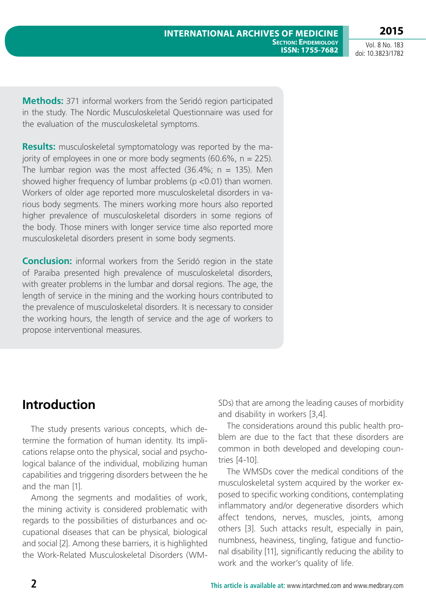**2015**

Vol. 8 No. 183 doi: 10.3823/1782

**Methods:** 371 informal workers from the Seridó region participated in the study. The Nordic Musculoskeletal Questionnaire was used for the evaluation of the musculoskeletal symptoms.

**Results:** musculoskeletal symptomatology was reported by the majority of employees in one or more body segments  $(60.6\% , n = 225)$ . The lumbar region was the most affected  $(36.4\%; n = 135)$ . Men showed higher frequency of lumbar problems (p <0.01) than women. Workers of older age reported more musculoskeletal disorders in various body segments. The miners working more hours also reported higher prevalence of musculoskeletal disorders in some regions of the body. Those miners with longer service time also reported more musculoskeletal disorders present in some body segments.

**Conclusion:** informal workers from the Seridó region in the state of Paraiba presented high prevalence of musculoskeletal disorders, with greater problems in the lumbar and dorsal regions. The age, the length of service in the mining and the working hours contributed to the prevalence of musculoskeletal disorders. It is necessary to consider the working hours, the length of service and the age of workers to propose interventional measures.

## **Introduction**

The study presents various concepts, which determine the formation of human identity. Its implications relapse onto the physical, social and psychological balance of the individual, mobilizing human capabilities and triggering disorders between the he and the man [1].

Among the segments and modalities of work, the mining activity is considered problematic with regards to the possibilities of disturbances and occupational diseases that can be physical, biological and social [2]. Among these barriers, it is highlighted the Work-Related Musculoskeletal Disorders (WM- SDs) that are among the leading causes of morbidity and disability in workers [3,4].

The considerations around this public health problem are due to the fact that these disorders are common in both developed and developing countries [4-10].

The WMSDs cover the medical conditions of the musculoskeletal system acquired by the worker exposed to specific working conditions, contemplating inflammatory and/or degenerative disorders which affect tendons, nerves, muscles, joints, among others [3]. Such attacks result, especially in pain, numbness, heaviness, tingling, fatigue and functional disability [11], significantly reducing the ability to work and the worker's quality of life.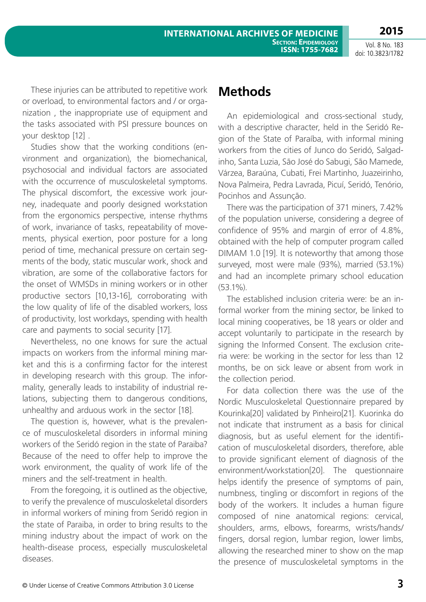**2015**

These injuries can be attributed to repetitive work or overload, to environmental factors and / or organization , the inappropriate use of equipment and the tasks associated with PSI pressure bounces on your desktop [12] .

Studies show that the working conditions (environment and organization), the biomechanical, psychosocial and individual factors are associated with the occurrence of musculoskeletal symptoms. The physical discomfort, the excessive work journey, inadequate and poorly designed workstation from the ergonomics perspective, intense rhythms of work, invariance of tasks, repeatability of movements, physical exertion, poor posture for a long period of time, mechanical pressure on certain segments of the body, static muscular work, shock and vibration, are some of the collaborative factors for the onset of WMSDs in mining workers or in other productive sectors [10,13-16], corroborating with the low quality of life of the disabled workers, loss of productivity, lost workdays, spending with health care and payments to social security [17].

Nevertheless, no one knows for sure the actual impacts on workers from the informal mining market and this is a confirming factor for the interest in developing research with this group. The informality, generally leads to instability of industrial relations, subjecting them to dangerous conditions, unhealthy and arduous work in the sector [18].

The question is, however, what is the prevalence of musculoskeletal disorders in informal mining workers of the Seridó region in the state of Paraiba? Because of the need to offer help to improve the work environment, the quality of work life of the miners and the self-treatment in health.

From the foregoing, it is outlined as the objective, to verify the prevalence of musculoskeletal disorders in informal workers of mining from Seridó region in the state of Paraiba, in order to bring results to the mining industry about the impact of work on the health-disease process, especially musculoskeletal diseases.

### **Methods**

An epidemiological and cross-sectional study, with a descriptive character, held in the Seridó Region of the State of Paraíba, with informal mining workers from the cities of Junco do Seridó, Salgadinho, Santa Luzia, São José do Sabugi, São Mamede, Várzea, Baraúna, Cubati, Frei Martinho, Juazeirinho, Nova Palmeira, Pedra Lavrada, Picuí, Seridó, Tenório, Pocinhos and Assunção.

There was the participation of 371 miners, 7.42% of the population universe, considering a degree of confidence of 95% and margin of error of 4.8%, obtained with the help of computer program called DIMAM 1.0 [19]. It is noteworthy that among those surveyed, most were male (93%), married (53.1%) and had an incomplete primary school education (53.1%).

The established inclusion criteria were: be an informal worker from the mining sector, be linked to local mining cooperatives, be 18 years or older and accept voluntarily to participate in the research by signing the Informed Consent. The exclusion criteria were: be working in the sector for less than 12 months, be on sick leave or absent from work in the collection period.

For data collection there was the use of the Nordic Musculoskeletal Questionnaire prepared by Kourinka[20] validated by Pinheiro[21]. Kuorinka do not indicate that instrument as a basis for clinical diagnosis, but as useful element for the identification of musculoskeletal disorders, therefore, able to provide significant element of diagnosis of the environment/workstation[20]. The questionnaire helps identify the presence of symptoms of pain, numbness, tingling or discomfort in regions of the body of the workers. It includes a human figure composed of nine anatomical regions: cervical, shoulders, arms, elbows, forearms, wrists/hands/ fingers, dorsal region, lumbar region, lower limbs, allowing the researched miner to show on the map the presence of musculoskeletal symptoms in the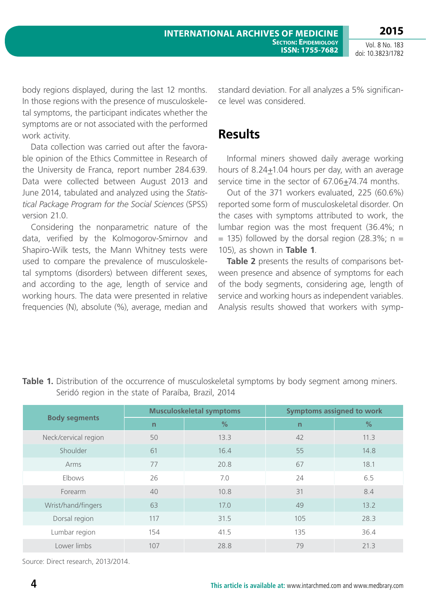Out of the 371 workers evaluated, 225 (60.6%) reported some form of musculoskeletal disorder. On the cases with symptoms attributed to work, the lumbar region was the most frequent (36.4%; n  $=$  135) followed by the dorsal region (28.3%; n = 105), as shown in **Table 1**.

Informal miners showed daily average working hours of 8.24+1.04 hours per day, with an average

standard deviation. For all analyzes a 5% significan-

**Table 2** presents the results of comparisons between presence and absence of symptoms for each of the body segments, considering age, length of service and working hours as independent variables. Analysis results showed that workers with symp-

Vol. 8 No. 183 doi: 10.3823/1782

ce level was considered.

**Results**

body regions displayed, during the last 12 months. In those regions with the presence of musculoskeletal symptoms, the participant indicates whether the symptoms are or not associated with the performed work activity.

Data collection was carried out after the favorable opinion of the Ethics Committee in Research of the University de Franca, report number 284.639. Data were collected between August 2013 and June 2014, tabulated and analyzed using the *Statistical Package Program for the Social Sciences* (SPSS) version 21.0.

Considering the nonparametric nature of the data, verified by the Kolmogorov-Smirnov and Shapiro-Wilk tests, the Mann Whitney tests were used to compare the prevalence of musculoskeletal symptoms (disorders) between different sexes, and according to the age, length of service and working hours. The data were presented in relative frequencies (N), absolute (%), average, median and

| $3$ chao region in the state of Faraloa, brazil, $2017$ |                                 |      |                                  |      |  |  |  |
|---------------------------------------------------------|---------------------------------|------|----------------------------------|------|--|--|--|
| <b>Body segments</b>                                    | <b>Musculoskeletal symptoms</b> |      | <b>Symptoms assigned to work</b> |      |  |  |  |
|                                                         | n                               | %    | $\mathsf{n}$                     | %    |  |  |  |
| Neck/cervical region                                    | 50                              | 13.3 | 42                               | 11.3 |  |  |  |
| Shoulder                                                | 61                              | 16.4 | 55                               | 14.8 |  |  |  |
| Arms                                                    | 77                              | 20.8 | 67                               | 18.1 |  |  |  |
| Elbows                                                  | 26                              | 7.0  | 24                               | 6.5  |  |  |  |
| Forearm                                                 | 40                              | 10.8 | 31                               | 8.4  |  |  |  |
| Wrist/hand/fingers                                      | 63                              | 17.0 | 49                               | 13.2 |  |  |  |
| Dorsal region                                           | 117                             | 31.5 | 105                              | 28.3 |  |  |  |
| Lumbar region                                           | 154                             | 41.5 | 135                              | 36.4 |  |  |  |
| Lower limbs                                             | 107                             | 28.8 | 79                               | 21.3 |  |  |  |
|                                                         |                                 |      |                                  |      |  |  |  |

#### **Table 1.** Distribution of the occurrence of musculoskeletal symptoms by body segment among miners. Seridó region in the state of Paraíba, Brazil, 2014

Source: Direct research, 2013/2014.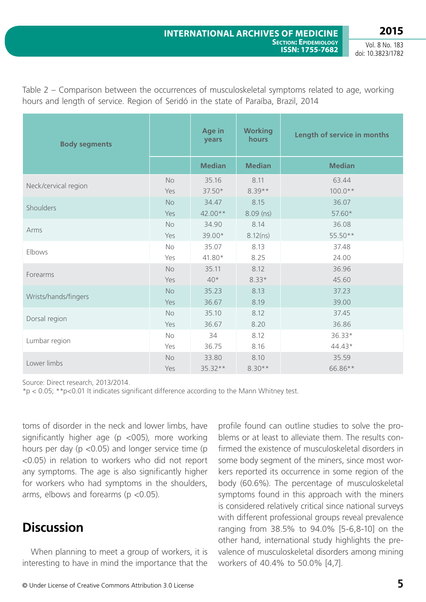**2015** Vol. 8 No. 183

doi: 10.3823/1782

| <b>Body segments</b> |           | Age in<br>years | <b>Working</b><br>hours | Length of service in months |
|----------------------|-----------|-----------------|-------------------------|-----------------------------|
|                      |           | <b>Median</b>   | <b>Median</b>           | <b>Median</b>               |
| Neck/cervical region | <b>No</b> | 35.16           | 8.11                    | 63.44                       |
|                      | Yes       | 37.50*          | $8.39**$                | $100.0**$                   |
| Shoulders            | No        | 34.47           | 8.15                    | 36.07                       |
|                      | Yes       | 42.00**         | $8.09$ (ns)             | 57.60*                      |
| Arms                 | <b>No</b> | 34.90           | 8.14                    | 36.08                       |
|                      | Yes       | 39.00*          | 8.12(ns)                | 55.50**                     |
| Elbows               | No        | 35.07           | 8.13                    | 37.48                       |
|                      | Yes       | 41.80*          | 8.25                    | 24.00                       |
| Forearms             | <b>No</b> | 35.11           | 8.12                    | 36.96                       |
|                      | Yes       | $40*$           | $8.33*$                 | 45.60                       |
| Wrists/hands/fingers | <b>No</b> | 35.23           | 8.13                    | 37.23                       |
|                      | Yes       | 36.67           | 8.19                    | 39.00                       |
| Dorsal region        | No        | 35.10           | 8.12                    | 37.45                       |
|                      | Yes       | 36.67           | 8.20                    | 36.86                       |
| Lumbar region        | No        | 34              | 8.12                    | 36.33*                      |
|                      | Yes       | 36.75           | 8.16                    | 44.43*                      |
| Lower limbs          | No        | 33.80           | 8.10                    | 35.59                       |
|                      | Yes       | 35.32**         | $8.30**$                | 66.86**                     |

Table 2 – Comparison between the occurrences of musculoskeletal symptoms related to age, working hours and length of service. Region of Seridó in the state of Paraíba, Brazil, 2014

Source: Direct research, 2013/2014.

\*p < 0.05; \*\*p<0.01 It indicates significant difference according to the Mann Whitney test.

toms of disorder in the neck and lower limbs, have significantly higher age ( $p$  <005), more working hours per day ( $p$  <0.05) and longer service time ( $p$ ) <0.05) in relation to workers who did not report any symptoms. The age is also significantly higher for workers who had symptoms in the shoulders, arms, elbows and forearms (p <0.05).

### **Discussion**

When planning to meet a group of workers, it is interesting to have in mind the importance that the

profile found can outline studies to solve the problems or at least to alleviate them. The results confirmed the existence of musculoskeletal disorders in some body segment of the miners, since most workers reported its occurrence in some region of the body (60.6%). The percentage of musculoskeletal symptoms found in this approach with the miners is considered relatively critical since national surveys with different professional groups reveal prevalence ranging from 38.5% to 94.0% [5-6,8-10] on the other hand, international study highlights the prevalence of musculoskeletal disorders among mining workers of 40.4% to 50.0% [4,7].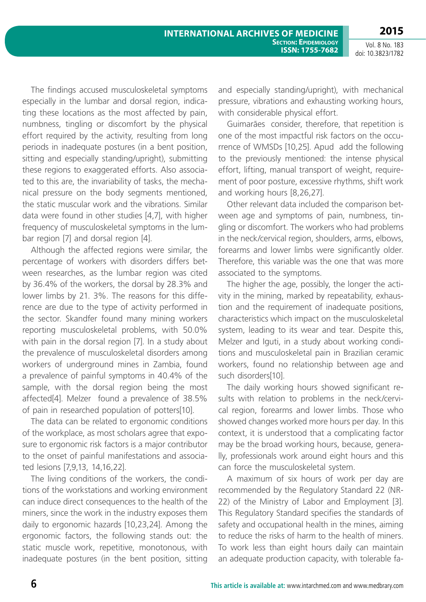The findings accused musculoskeletal symptoms especially in the lumbar and dorsal region, indicating these locations as the most affected by pain, numbness, tingling or discomfort by the physical effort required by the activity, resulting from long periods in inadequate postures (in a bent position, sitting and especially standing/upright), submitting these regions to exaggerated efforts. Also associated to this are, the invariability of tasks, the mechanical pressure on the body segments mentioned, the static muscular work and the vibrations. Similar data were found in other studies [4,7], with higher frequency of musculoskeletal symptoms in the lumbar region [7] and dorsal region [4].

Although the affected regions were similar, the percentage of workers with disorders differs between researches, as the lumbar region was cited by 36.4% of the workers, the dorsal by 28.3% and lower limbs by 21. 3%. The reasons for this difference are due to the type of activity performed in the sector. Skandfer found many mining workers reporting musculoskeletal problems, with 50.0% with pain in the dorsal region [7]. In a study about the prevalence of musculoskeletal disorders among workers of underground mines in Zambia, found a prevalence of painful symptoms in 40.4% of the sample, with the dorsal region being the most affected[4]. Melzer found a prevalence of 38.5% of pain in researched population of potters[10].

The data can be related to ergonomic conditions of the workplace, as most scholars agree that exposure to ergonomic risk factors is a major contributor to the onset of painful manifestations and associated lesions [7,9,13, 14,16,22].

The living conditions of the workers, the conditions of the workstations and working environment can induce direct consequences to the health of the miners, since the work in the industry exposes them daily to ergonomic hazards [10,23,24]. Among the ergonomic factors, the following stands out: the static muscle work, repetitive, monotonous, with inadequate postures (in the bent position, sitting and especially standing/upright), with mechanical pressure, vibrations and exhausting working hours, with considerable physical effort.

Guimarães consider, therefore, that repetition is one of the most impactful risk factors on the occurrence of WMSDs [10,25]. Apud add the following to the previously mentioned: the intense physical effort, lifting, manual transport of weight, requirement of poor posture, excessive rhythms, shift work and working hours [8,26,27].

Other relevant data included the comparison between age and symptoms of pain, numbness, tingling or discomfort. The workers who had problems in the neck/cervical region, shoulders, arms, elbows, forearms and lower limbs were significantly older. Therefore, this variable was the one that was more associated to the symptoms.

The higher the age, possibly, the longer the activity in the mining, marked by repeatability, exhaustion and the requirement of inadequate positions, characteristics which impact on the musculoskeletal system, leading to its wear and tear. Despite this, Melzer and Iguti, in a study about working conditions and musculoskeletal pain in Brazilian ceramic workers, found no relationship between age and such disorders[10].

The daily working hours showed significant results with relation to problems in the neck/cervical region, forearms and lower limbs. Those who showed changes worked more hours per day. In this context, it is understood that a complicating factor may be the broad working hours, because, generally, professionals work around eight hours and this can force the musculoskeletal system.

A maximum of six hours of work per day are recommended by the Regulatory Standard 22 (NR-22) of the Ministry of Labor and Employment [3]. This Regulatory Standard specifies the standards of safety and occupational health in the mines, aiming to reduce the risks of harm to the health of miners. To work less than eight hours daily can maintain an adequate production capacity, with tolerable fa-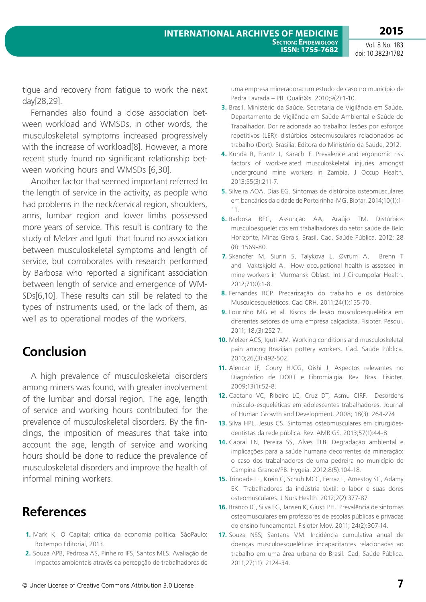tigue and recovery from fatigue to work the next day[28,29].

Fernandes also found a close association between workload and WMSDs, in other words, the musculoskeletal symptoms increased progressively with the increase of workload[8]. However, a more recent study found no significant relationship between working hours and WMSDs [6,30].

Another factor that seemed important referred to the length of service in the activity, as people who had problems in the neck/cervical region, shoulders, arms, lumbar region and lower limbs possessed more years of service. This result is contrary to the study of Melzer and Iguti that found no association between musculoskeletal symptoms and length of service, but corroborates with research performed by Barbosa who reported a significant association between length of service and emergence of WM-SDs[6,10]. These results can still be related to the types of instruments used, or the lack of them, as well as to operational modes of the workers.

## **Conclusion**

A high prevalence of musculoskeletal disorders among miners was found, with greater involvement of the lumbar and dorsal region. The age, length of service and working hours contributed for the prevalence of musculoskeletal disorders. By the findings, the imposition of measures that take into account the age, length of service and working hours should be done to reduce the prevalence of musculoskeletal disorders and improve the health of informal mining workers.

## **References**

- **1.** Mark K. O Capital: crítica da economia política. SãoPaulo: Boitempo Editorial, 2013.
- **2.** Souza APB, Pedrosa AS, Pinheiro IFS, Santos MLS. Avaliação de impactos ambientais através da percepção de trabalhadores de
- **3.** Brasil. Ministério da Saúde. Secretaria de Vigilância em Saúde. Departamento de Vigilância em Saúde Ambiental e Saúde do Trabalhador. Dor relacionada ao trabalho: lesões por esforços repetitivos (LER): distúrbios osteomusculares relacionados ao trabalho (Dort). Brasília: Editora do Ministério da Saúde, 2012.
- **4.** Kunda R, Frantz J, Karachi F. Prevalence and ergonomic risk factors of work-related musculoskeletal injuries amongst underground mine workers in Zambia. J Occup Health. 2013;55(3):211-7.
- **5.** Silveira AOA, Dias EG. Sintomas de distúrbios osteomusculares em bancários da cidade de Porteirinha-MG. Biofar. 2014;10(1):1- 11.
- **6.** Barbosa REC, Assunção AA, Araújo TM. Distúrbios musculoesqueléticos em trabalhadores do setor saúde de Belo Horizonte, Minas Gerais, Brasil. Cad. Saúde Pública. 2012; 28 (8): 1569-80.
- **7.** Skandfer M, Siurin S, Talykova L, Øvrum A, Brenn T and Vaktskjold A. How occupational health is assessed in mine workers in Murmansk Oblast. Int J Circumpolar Health. 2012;71(0):1-8.
- **8.** Fernandes RCP. Precarização do trabalho e os distúrbios Musculoesqueléticos. Cad CRH. 2011;24(1):155-70.
- **9.** Lourinho MG et al. Riscos de lesão musculoesquelética em diferentes setores de uma empresa calçadista. Fisioter. Pesqui. 2011; 18,(3):252-7.
- **10.** Melzer ACS, Iguti AM. Working conditions and musculoskeletal pain among Brazilian pottery workers. Cad. Saúde Pública. 2010;26,(3):492-502.
- **11.** Alencar JF, Coury HJCG, Oishi J. Aspectos relevantes no Diagnóstico de DORT e Fibromialgia. Rev. Bras. Fisioter. 2009;13(1):52-8.
- **12.** Caetano VC, Ribeiro LC, Cruz DT, Asmu CIRF. Desordens músculo-esqueléticas em adolescentes trabalhadores. Journal of Human Growth and Development. 2008; 18(3): 264-274
- **13.** Silva HPL, Jesus CS. Sintomas osteomusculares em cirurgiõesdentistas da rede pública. Rev. AMRIGS. 2013;57(1):44-8.
- **14.** Cabral LN, Pereira SS, Alves TLB. Degradação ambiental e implicações para a saúde humana decorrentes da mineração: o caso dos trabalhadores de uma pedreira no município de Campina Grande/PB. Hygeia. 2012;8(5):104-18.
- **15.** Trindade LL, Krein C, Schuh MCC, Ferraz L, Amestoy SC, Adamy EK. Trabalhadores da indústria têxtil: o labor e suas dores osteomusculares. J Nurs Health. 2012;2(2):377-87.
- **16.** Branco JC, Silva FG, Jansen K, Giusti PH. Prevalência de sintomas osteomusculares em professores de escolas públicas e privadas do ensino fundamental. Fisioter Mov. 2011; 24(2):307-14.
- **17.** Souza NSS; Santana VM. Incidência cumulativa anual de doenças musculoesqueléticas incapacitantes relacionadas ao trabalho em uma área urbana do Brasil. Cad. Saúde Pública. 2011;27(11): 2124-34.